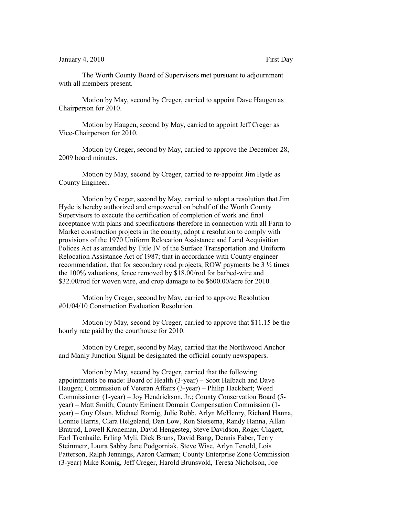The Worth County Board of Supervisors met pursuant to adjournment with all members present.

Motion by May, second by Creger, carried to appoint Dave Haugen as Chairperson for 2010.

Motion by Haugen, second by May, carried to appoint Jeff Creger as Vice-Chairperson for 2010.

Motion by Creger, second by May, carried to approve the December 28, 2009 board minutes.

Motion by May, second by Creger, carried to re-appoint Jim Hyde as County Engineer.

Motion by Creger, second by May, carried to adopt a resolution that Jim Hyde is hereby authorized and empowered on behalf of the Worth County Supervisors to execute the certification of completion of work and final acceptance with plans and specifications therefore in connection with all Farm to Market construction projects in the county, adopt a resolution to comply with provisions of the 1970 Uniform Relocation Assistance and Land Acquisition Polices Act as amended by Title IV of the Surface Transportation and Uniform Relocation Assistance Act of 1987; that in accordance with County engineer recommendation, that for secondary road projects, ROW payments be 3 ½ times the 100% valuations, fence removed by \$18.00/rod for barbed-wire and \$32.00/rod for woven wire, and crop damage to be \$600.00/acre for 2010.

Motion by Creger, second by May, carried to approve Resolution #01/04/10 Construction Evaluation Resolution.

Motion by May, second by Creger, carried to approve that \$11.15 be the hourly rate paid by the courthouse for 2010.

Motion by Creger, second by May, carried that the Northwood Anchor and Manly Junction Signal be designated the official county newspapers.

Motion by May, second by Creger, carried that the following appointments be made: Board of Health (3-year) – Scott Halbach and Dave Haugen; Commission of Veteran Affairs (3-year) – Philip Hackbart; Weed Commissioner (1-year) – Joy Hendrickson, Jr.; County Conservation Board (5 year) – Matt Smith; County Eminent Domain Compensation Commission (1 year) – Guy Olson, Michael Romig, Julie Robb, Arlyn McHenry, Richard Hanna, Lonnie Harris, Clara Helgeland, Dan Low, Ron Sietsema, Randy Hanna, Allan Bratrud, Lowell Kroneman, David Hengesteg, Steve Davidson, Roger Clagett, Earl Trenhaile, Erling Myli, Dick Bruns, David Bang, Dennis Faber, Terry Steinmetz, Laura Sabby Jane Podgorniak, Steve Wise, Arlyn Tenold, Lois Patterson, Ralph Jennings, Aaron Carman; County Enterprise Zone Commission (3-year) Mike Romig, Jeff Creger, Harold Brunsvold, Teresa Nicholson, Joe